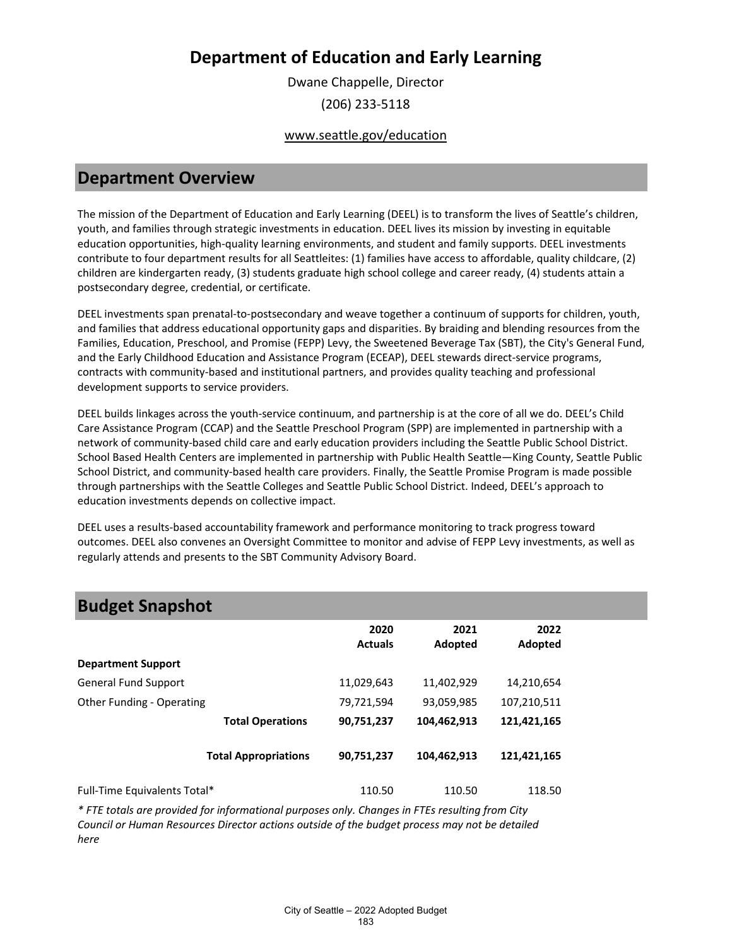Dwane Chappelle, Director (206) 233-5118

#### www.seattle.gov/education

### **Department Overview**

The mission of the Department of Education and Early Learning (DEEL) is to transform the lives of Seattle's children, youth, and families through strategic investments in education. DEEL lives its mission by investing in equitable education opportunities, high-quality learning environments, and student and family supports. DEEL investments contribute to four department results for all Seattleites: (1) families have access to affordable, quality childcare, (2) children are kindergarten ready, (3) students graduate high school college and career ready, (4) students attain a postsecondary degree, credential, or certificate.

DEEL investments span prenatal-to-postsecondary and weave together a continuum of supports for children, youth, and families that address educational opportunity gaps and disparities. By braiding and blending resources from the Families, Education, Preschool, and Promise (FEPP) Levy, the Sweetened Beverage Tax (SBT), the City's General Fund, and the Early Childhood Education and Assistance Program (ECEAP), DEEL stewards direct-service programs, contracts with community-based and institutional partners, and provides quality teaching and professional development supports to service providers.

DEEL builds linkages across the youth-service continuum, and partnership is at the core of all we do. DEEL's Child Care Assistance Program (CCAP) and the Seattle Preschool Program (SPP) are implemented in partnership with a network of community-based child care and early education providers including the Seattle Public School District. School Based Health Centers are implemented in partnership with Public Health Seattle—King County, Seattle Public School District, and community-based health care providers. Finally, the Seattle Promise Program is made possible through partnerships with the Seattle Colleges and Seattle Public School District. Indeed, DEEL's approach to education investments depends on collective impact.

DEEL uses a results-based accountability framework and performance monitoring to track progress toward outcomes. DEEL also convenes an Oversight Committee to monitor and advise of FEPP Levy investments, as well as regularly attends and presents to the SBT Community Advisory Board.

| <b>Budget Snapshot</b>       |                             |                        |                 |                 |  |
|------------------------------|-----------------------------|------------------------|-----------------|-----------------|--|
|                              |                             | 2020<br><b>Actuals</b> | 2021<br>Adopted | 2022<br>Adopted |  |
| <b>Department Support</b>    |                             |                        |                 |                 |  |
| <b>General Fund Support</b>  |                             | 11,029,643             | 11,402,929      | 14,210,654      |  |
| Other Funding - Operating    |                             | 79,721,594             | 93,059,985      | 107,210,511     |  |
|                              | <b>Total Operations</b>     | 90,751,237             | 104,462,913     | 121,421,165     |  |
|                              | <b>Total Appropriations</b> | 90,751,237             | 104,462,913     | 121,421,165     |  |
| Full-Time Equivalents Total* |                             | 110.50                 | 110.50          | 118.50          |  |

*\* FTE totals are provided for informational purposes only. Changes in FTEs resulting from City Council or Human Resources Director actions outside of the budget process may not be detailed here*

#### City of Seattle – 2022 Adopted Budget 183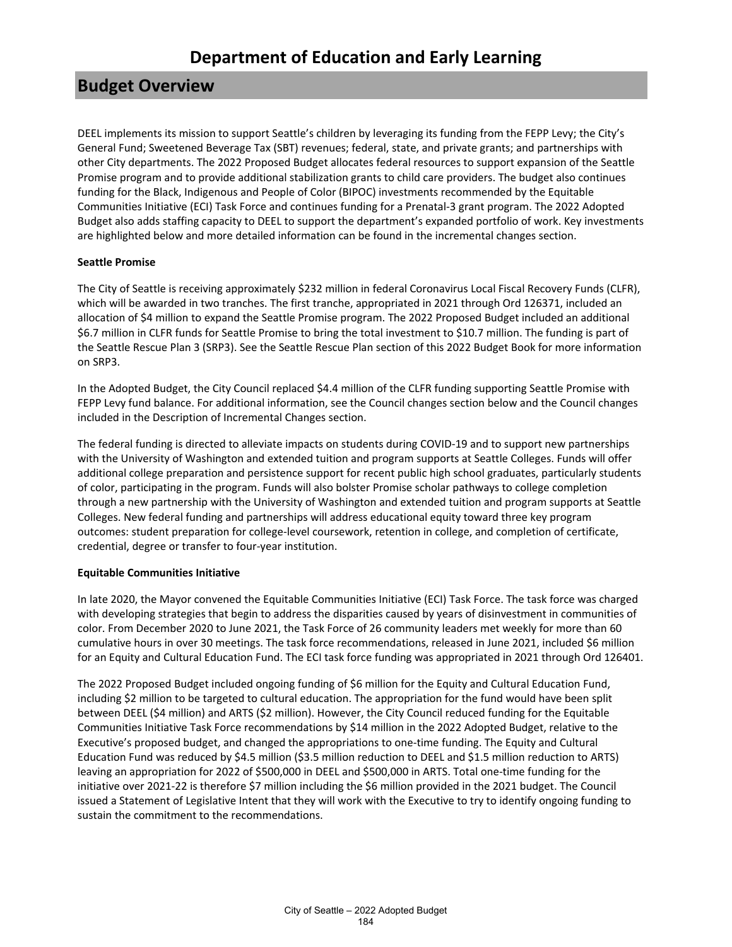### **Budget Overview**

DEEL implements its mission to support Seattle's children by leveraging its funding from the FEPP Levy; the City's General Fund; Sweetened Beverage Tax (SBT) revenues; federal, state, and private grants; and partnerships with other City departments. The 2022 Proposed Budget allocates federal resources to support expansion of the Seattle Promise program and to provide additional stabilization grants to child care providers. The budget also continues funding for the Black, Indigenous and People of Color (BIPOC) investments recommended by the Equitable Communities Initiative (ECI) Task Force and continues funding for a Prenatal-3 grant program. The 2022 Adopted Budget also adds staffing capacity to DEEL to support the department's expanded portfolio of work. Key investments are highlighted below and more detailed information can be found in the incremental changes section.

#### **Seattle Promise**

The City of Seattle is receiving approximately \$232 million in federal Coronavirus Local Fiscal Recovery Funds (CLFR), which will be awarded in two tranches. The first tranche, appropriated in 2021 through Ord 126371, included an allocation of \$4 million to expand the Seattle Promise program. The 2022 Proposed Budget included an additional \$6.7 million in CLFR funds for Seattle Promise to bring the total investment to \$10.7 million. The funding is part of the Seattle Rescue Plan 3 (SRP3). See the Seattle Rescue Plan section of this 2022 Budget Book for more information on SRP3.

In the Adopted Budget, the City Council replaced \$4.4 million of the CLFR funding supporting Seattle Promise with FEPP Levy fund balance. For additional information, see the Council changes section below and the Council changes included in the Description of Incremental Changes section.

The federal funding is directed to alleviate impacts on students during COVID-19 and to support new partnerships with the University of Washington and extended tuition and program supports at Seattle Colleges. Funds will offer additional college preparation and persistence support for recent public high school graduates, particularly students of color, participating in the program. Funds will also bolster Promise scholar pathways to college completion through a new partnership with the University of Washington and extended tuition and program supports at Seattle Colleges. New federal funding and partnerships will address educational equity toward three key program outcomes: student preparation for college-level coursework, retention in college, and completion of certificate, credential, degree or transfer to four-year institution.

#### **Equitable Communities Initiative**

In late 2020, the Mayor convened the Equitable Communities Initiative (ECI) Task Force. The task force was charged with developing strategies that begin to address the disparities caused by years of disinvestment in communities of color. From December 2020 to June 2021, the Task Force of 26 community leaders met weekly for more than 60 cumulative hours in over 30 meetings. The task force recommendations, released in June 2021, included \$6 million for an Equity and Cultural Education Fund. The ECI task force funding was appropriated in 2021 through Ord 126401.

The 2022 Proposed Budget included ongoing funding of \$6 million for the Equity and Cultural Education Fund, including \$2 million to be targeted to cultural education. The appropriation for the fund would have been split between DEEL (\$4 million) and ARTS (\$2 million). However, the City Council reduced funding for the Equitable Communities Initiative Task Force recommendations by \$14 million in the 2022 Adopted Budget, relative to the Executive's proposed budget, and changed the appropriations to one-time funding. The Equity and Cultural Education Fund was reduced by \$4.5 million (\$3.5 million reduction to DEEL and \$1.5 million reduction to ARTS) leaving an appropriation for 2022 of \$500,000 in DEEL and \$500,000 in ARTS. Total one-time funding for the initiative over 2021-22 is therefore \$7 million including the \$6 million provided in the 2021 budget. The Council issued a Statement of Legislative Intent that they will work with the Executive to try to identify ongoing funding to sustain the commitment to the recommendations.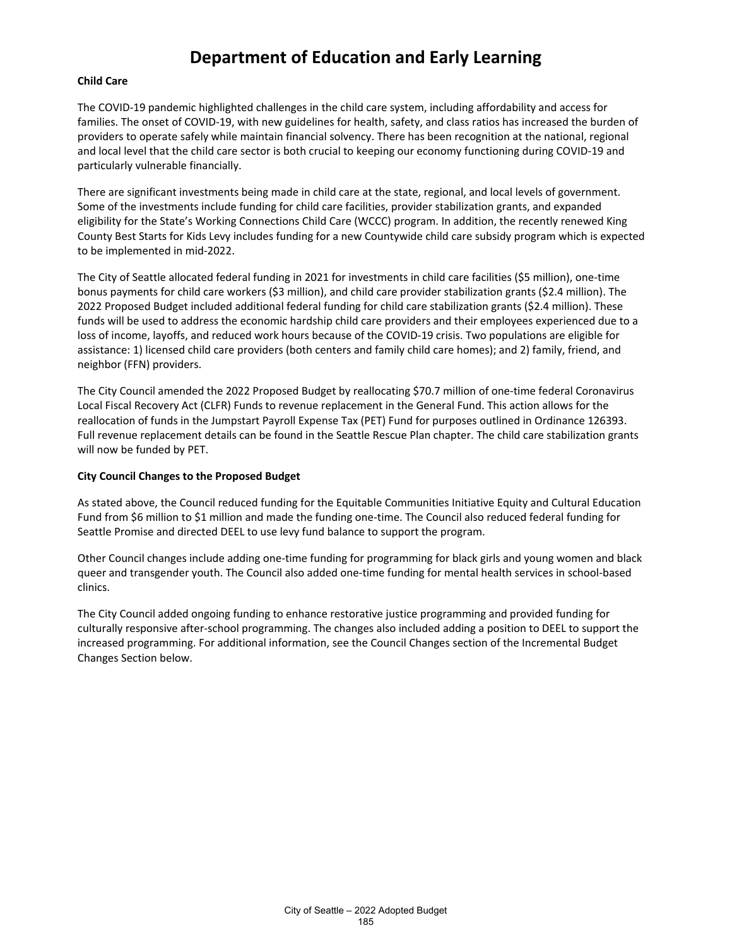#### **Child Care**

The COVID-19 pandemic highlighted challenges in the child care system, including affordability and access for families. The onset of COVID-19, with new guidelines for health, safety, and class ratios has increased the burden of providers to operate safely while maintain financial solvency. There has been recognition at the national, regional and local level that the child care sector is both crucial to keeping our economy functioning during COVID-19 and particularly vulnerable financially.

There are significant investments being made in child care at the state, regional, and local levels of government. Some of the investments include funding for child care facilities, provider stabilization grants, and expanded eligibility for the State's Working Connections Child Care (WCCC) program. In addition, the recently renewed King County Best Starts for Kids Levy includes funding for a new Countywide child care subsidy program which is expected to be implemented in mid-2022.

The City of Seattle allocated federal funding in 2021 for investments in child care facilities (\$5 million), one-time bonus payments for child care workers (\$3 million), and child care provider stabilization grants (\$2.4 million). The 2022 Proposed Budget included additional federal funding for child care stabilization grants (\$2.4 million). These funds will be used to address the economic hardship child care providers and their employees experienced due to a loss of income, layoffs, and reduced work hours because of the COVID-19 crisis. Two populations are eligible for assistance: 1) licensed child care providers (both centers and family child care homes); and 2) family, friend, and neighbor (FFN) providers.

The City Council amended the 2022 Proposed Budget by reallocating \$70.7 million of one-time federal Coronavirus Local Fiscal Recovery Act (CLFR) Funds to revenue replacement in the General Fund. This action allows for the reallocation of funds in the Jumpstart Payroll Expense Tax (PET) Fund for purposes outlined in Ordinance 126393. Full revenue replacement details can be found in the Seattle Rescue Plan chapter. The child care stabilization grants will now be funded by PET.

#### **City Council Changes to the Proposed Budget**

As stated above, the Council reduced funding for the Equitable Communities Initiative Equity and Cultural Education Fund from \$6 million to \$1 million and made the funding one-time. The Council also reduced federal funding for Seattle Promise and directed DEEL to use levy fund balance to support the program.

Other Council changes include adding one-time funding for programming for black girls and young women and black queer and transgender youth. The Council also added one-time funding for mental health services in school-based clinics.

The City Council added ongoing funding to enhance restorative justice programming and provided funding for culturally responsive after-school programming. The changes also included adding a position to DEEL to support the increased programming. For additional information, see the Council Changes section of the Incremental Budget Changes Section below.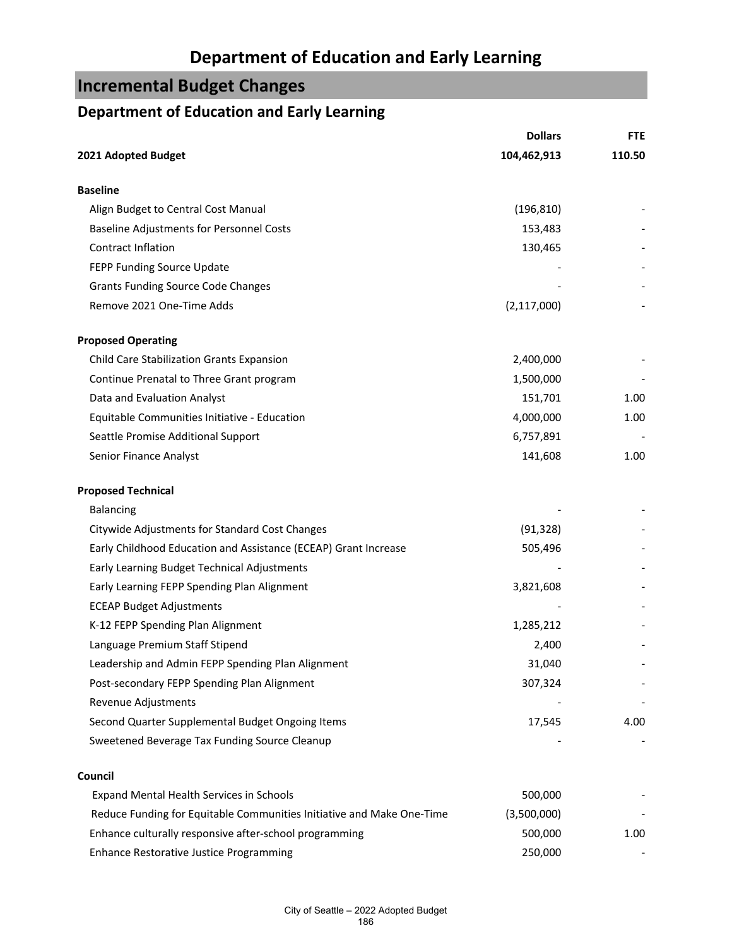## **Incremental Budget Changes**

## **Department of Education and Early Learning**

|                                                                       | <b>Dollars</b> | <b>FTE</b> |
|-----------------------------------------------------------------------|----------------|------------|
| 2021 Adopted Budget                                                   | 104,462,913    | 110.50     |
| <b>Baseline</b>                                                       |                |            |
| Align Budget to Central Cost Manual                                   | (196, 810)     |            |
| <b>Baseline Adjustments for Personnel Costs</b>                       | 153,483        |            |
| Contract Inflation                                                    | 130,465        |            |
| FEPP Funding Source Update                                            |                |            |
| <b>Grants Funding Source Code Changes</b>                             |                |            |
| Remove 2021 One-Time Adds                                             | (2, 117, 000)  |            |
| <b>Proposed Operating</b>                                             |                |            |
| Child Care Stabilization Grants Expansion                             | 2,400,000      |            |
| Continue Prenatal to Three Grant program                              | 1,500,000      |            |
| Data and Evaluation Analyst                                           | 151,701        | 1.00       |
| Equitable Communities Initiative - Education                          | 4,000,000      | 1.00       |
| Seattle Promise Additional Support                                    | 6,757,891      |            |
| Senior Finance Analyst                                                | 141,608        | 1.00       |
| <b>Proposed Technical</b>                                             |                |            |
| <b>Balancing</b>                                                      |                |            |
| Citywide Adjustments for Standard Cost Changes                        | (91, 328)      |            |
| Early Childhood Education and Assistance (ECEAP) Grant Increase       | 505,496        |            |
| Early Learning Budget Technical Adjustments                           |                |            |
| Early Learning FEPP Spending Plan Alignment                           | 3,821,608      |            |
| <b>ECEAP Budget Adjustments</b>                                       |                |            |
| K-12 FEPP Spending Plan Alignment                                     | 1,285,212      |            |
| Language Premium Staff Stipend                                        | 2,400          |            |
| Leadership and Admin FEPP Spending Plan Alignment                     | 31,040         |            |
| Post-secondary FEPP Spending Plan Alignment                           | 307,324        |            |
| Revenue Adjustments                                                   |                |            |
| Second Quarter Supplemental Budget Ongoing Items                      | 17,545         | 4.00       |
| Sweetened Beverage Tax Funding Source Cleanup                         |                |            |
| Council                                                               |                |            |
| Expand Mental Health Services in Schools                              | 500,000        |            |
| Reduce Funding for Equitable Communities Initiative and Make One-Time | (3,500,000)    |            |
| Enhance culturally responsive after-school programming                | 500,000        | 1.00       |
| Enhance Restorative Justice Programming                               | 250,000        |            |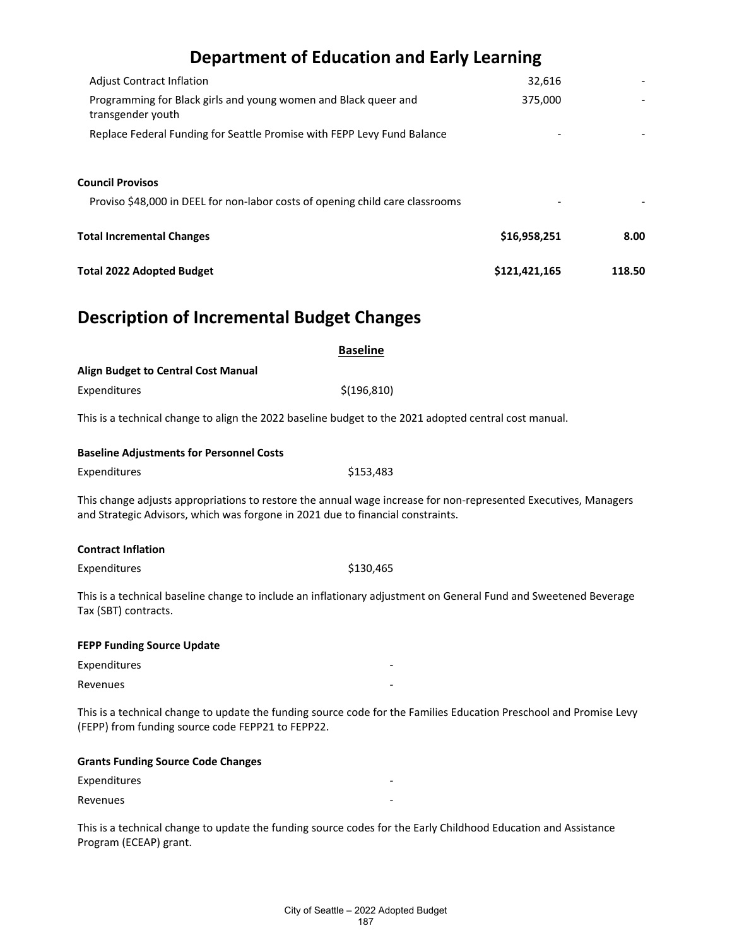| <b>Total 2022 Adopted Budget</b>                                                     | \$121,421,165 | 118.50 |
|--------------------------------------------------------------------------------------|---------------|--------|
| <b>Total Incremental Changes</b>                                                     | \$16,958,251  | 8.00   |
| Proviso \$48,000 in DEEL for non-labor costs of opening child care classrooms        |               |        |
| <b>Council Provisos</b>                                                              |               |        |
| Replace Federal Funding for Seattle Promise with FEPP Levy Fund Balance              |               |        |
| Programming for Black girls and young women and Black queer and<br>transgender youth | 375,000       |        |
| <b>Adjust Contract Inflation</b>                                                     | 32,616        |        |

## **Description of Incremental Budget Changes**

|                                                   | <b>Baseline</b>                                                                                                                                                                                    |
|---------------------------------------------------|----------------------------------------------------------------------------------------------------------------------------------------------------------------------------------------------------|
| <b>Align Budget to Central Cost Manual</b>        |                                                                                                                                                                                                    |
| Expenditures                                      | \$(196, 810)                                                                                                                                                                                       |
|                                                   | This is a technical change to align the 2022 baseline budget to the 2021 adopted central cost manual.                                                                                              |
| <b>Baseline Adjustments for Personnel Costs</b>   |                                                                                                                                                                                                    |
| Expenditures                                      | \$153,483                                                                                                                                                                                          |
|                                                   | This change adjusts appropriations to restore the annual wage increase for non-represented Executives, Managers<br>and Strategic Advisors, which was forgone in 2021 due to financial constraints. |
| <b>Contract Inflation</b>                         |                                                                                                                                                                                                    |
| Expenditures                                      | \$130,465                                                                                                                                                                                          |
| Tax (SBT) contracts.                              | This is a technical baseline change to include an inflationary adjustment on General Fund and Sweetened Beverage                                                                                   |
| <b>FEPP Funding Source Update</b>                 |                                                                                                                                                                                                    |
| Expenditures                                      |                                                                                                                                                                                                    |
| Revenues                                          |                                                                                                                                                                                                    |
| (FEPP) from funding source code FEPP21 to FEPP22. | This is a technical change to update the funding source code for the Families Education Preschool and Promise Levy                                                                                 |
| <b>Grants Funding Source Code Changes</b>         |                                                                                                                                                                                                    |
| Expenditures                                      |                                                                                                                                                                                                    |
| Revenues                                          |                                                                                                                                                                                                    |
|                                                   | This is a technical change to update the funding source codes for the Early Childhood Education and Assistance                                                                                     |

Program (ECEAP) grant.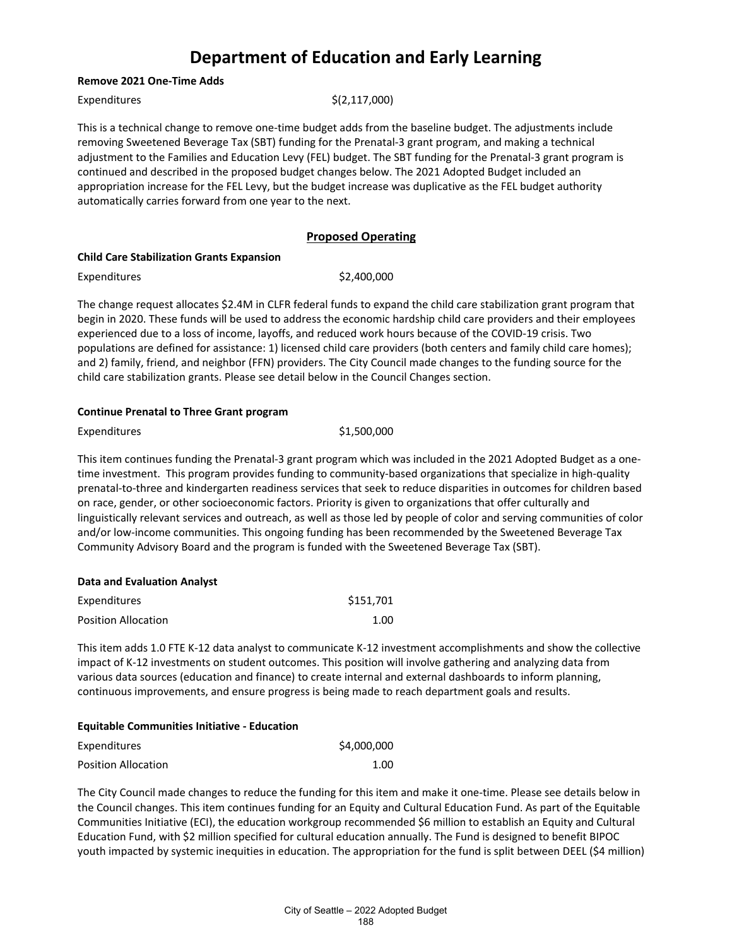#### **Remove 2021 One-Time Adds**

Expenditures  $\zeta(2,117,000)$ 

This is a technical change to remove one-time budget adds from the baseline budget. The adjustments include removing Sweetened Beverage Tax (SBT) funding for the Prenatal-3 grant program, and making a technical adjustment to the Families and Education Levy (FEL) budget. The SBT funding for the Prenatal-3 grant program is continued and described in the proposed budget changes below. The 2021 Adopted Budget included an appropriation increase for the FEL Levy, but the budget increase was duplicative as the FEL budget authority automatically carries forward from one year to the next.

#### **Proposed Operating**

#### **Child Care Stabilization Grants Expansion**

Expenditures  $$2,400,000$ 

The change request allocates \$2.4M in CLFR federal funds to expand the child care stabilization grant program that begin in 2020. These funds will be used to address the economic hardship child care providers and their employees experienced due to a loss of income, layoffs, and reduced work hours because of the COVID-19 crisis. Two populations are defined for assistance: 1) licensed child care providers (both centers and family child care homes); and 2) family, friend, and neighbor (FFN) providers. The City Council made changes to the funding source for the child care stabilization grants. Please see detail below in the Council Changes section.

#### **Continue Prenatal to Three Grant program**

Expenditures \$1,500,000

This item continues funding the Prenatal-3 grant program which was included in the 2021 Adopted Budget as a onetime investment. This program provides funding to community-based organizations that specialize in high-quality prenatal-to-three and kindergarten readiness services that seek to reduce disparities in outcomes for children based on race, gender, or other socioeconomic factors. Priority is given to organizations that offer culturally and linguistically relevant services and outreach, as well as those led by people of color and serving communities of color and/or low-income communities. This ongoing funding has been recommended by the Sweetened Beverage Tax Community Advisory Board and the program is funded with the Sweetened Beverage Tax (SBT).

| <b>Data and Evaluation Analyst</b> |           |
|------------------------------------|-----------|
| <b>Expenditures</b>                | \$151.701 |
| <b>Position Allocation</b>         | 1.00      |

This item adds 1.0 FTE K-12 data analyst to communicate K-12 investment accomplishments and show the collective impact of K-12 investments on student outcomes. This position will involve gathering and analyzing data from various data sources (education and finance) to create internal and external dashboards to inform planning, continuous improvements, and ensure progress is being made to reach department goals and results.

#### **Equitable Communities Initiative - Education**

| Expenditures        | \$4,000,000 |
|---------------------|-------------|
| Position Allocation | 1.00        |

The City Council made changes to reduce the funding for this item and make it one-time. Please see details below in the Council changes. This item continues funding for an Equity and Cultural Education Fund. As part of the Equitable Communities Initiative (ECI), the education workgroup recommended \$6 million to establish an Equity and Cultural Education Fund, with \$2 million specified for cultural education annually. The Fund is designed to benefit BIPOC youth impacted by systemic inequities in education. The appropriation for the fund is split between DEEL (\$4 million)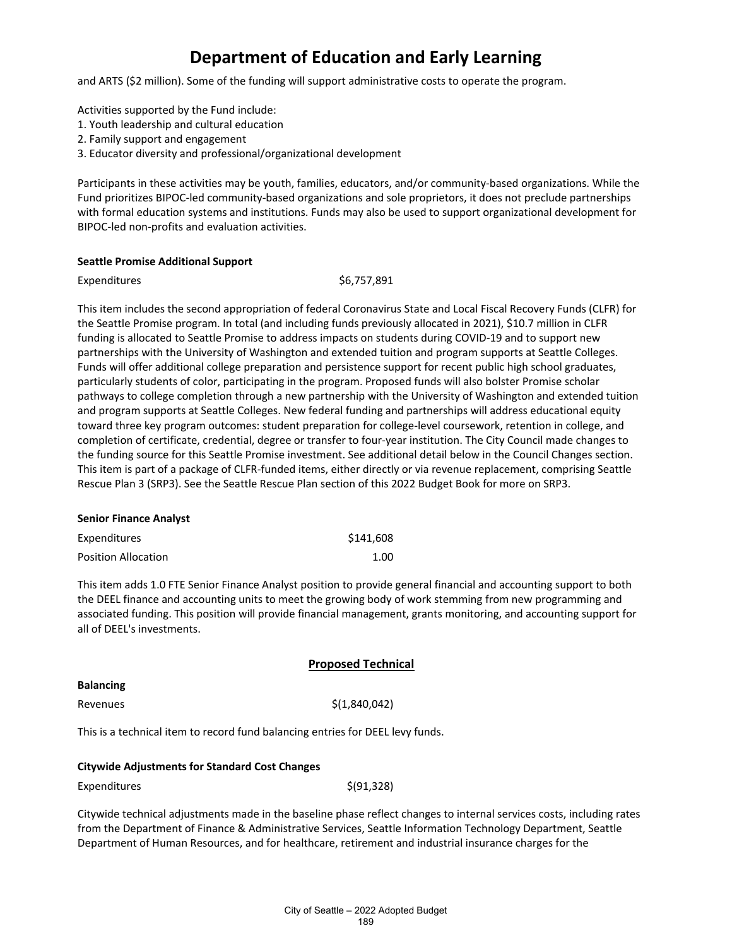and ARTS (\$2 million). Some of the funding will support administrative costs to operate the program.

Activities supported by the Fund include:

- 1. Youth leadership and cultural education
- 2. Family support and engagement
- 3. Educator diversity and professional/organizational development

Participants in these activities may be youth, families, educators, and/or community-based organizations. While the Fund prioritizes BIPOC-led community-based organizations and sole proprietors, it does not preclude partnerships with formal education systems and institutions. Funds may also be used to support organizational development for BIPOC-led non-profits and evaluation activities.

#### **Seattle Promise Additional Support**

Expenditures \$6,757,891

This item includes the second appropriation of federal Coronavirus State and Local Fiscal Recovery Funds (CLFR) for the Seattle Promise program. In total (and including funds previously allocated in 2021), \$10.7 million in CLFR funding is allocated to Seattle Promise to address impacts on students during COVID-19 and to support new partnerships with the University of Washington and extended tuition and program supports at Seattle Colleges. Funds will offer additional college preparation and persistence support for recent public high school graduates, particularly students of color, participating in the program. Proposed funds will also bolster Promise scholar pathways to college completion through a new partnership with the University of Washington and extended tuition and program supports at Seattle Colleges. New federal funding and partnerships will address educational equity toward three key program outcomes: student preparation for college-level coursework, retention in college, and completion of certificate, credential, degree or transfer to four-year institution. The City Council made changes to the funding source for this Seattle Promise investment. See additional detail below in the Council Changes section. This item is part of a package of CLFR-funded items, either directly or via revenue replacement, comprising Seattle Rescue Plan 3 (SRP3). See the Seattle Rescue Plan section of this 2022 Budget Book for more on SRP3.

### **Senior Finance Analyst** Expenditures \$141,608 Position Allocation 1.00

This item adds 1.0 FTE Senior Finance Analyst position to provide general financial and accounting support to both the DEEL finance and accounting units to meet the growing body of work stemming from new programming and associated funding. This position will provide financial management, grants monitoring, and accounting support for all of DEEL's investments.

|                                                                                | <b>Proposed Technical</b> |
|--------------------------------------------------------------------------------|---------------------------|
| <b>Balancing</b>                                                               |                           |
| Revenues                                                                       | \$(1,840,042)             |
| This is a technical item to record fund balancing entries for DEEL levy funds. |                           |

#### **Citywide Adjustments for Standard Cost Changes**

| Expenditures | \$(91,328) |
|--------------|------------|
|--------------|------------|

Citywide technical adjustments made in the baseline phase reflect changes to internal services costs, including rates from the Department of Finance & Administrative Services, Seattle Information Technology Department, Seattle Department of Human Resources, and for healthcare, retirement and industrial insurance charges for the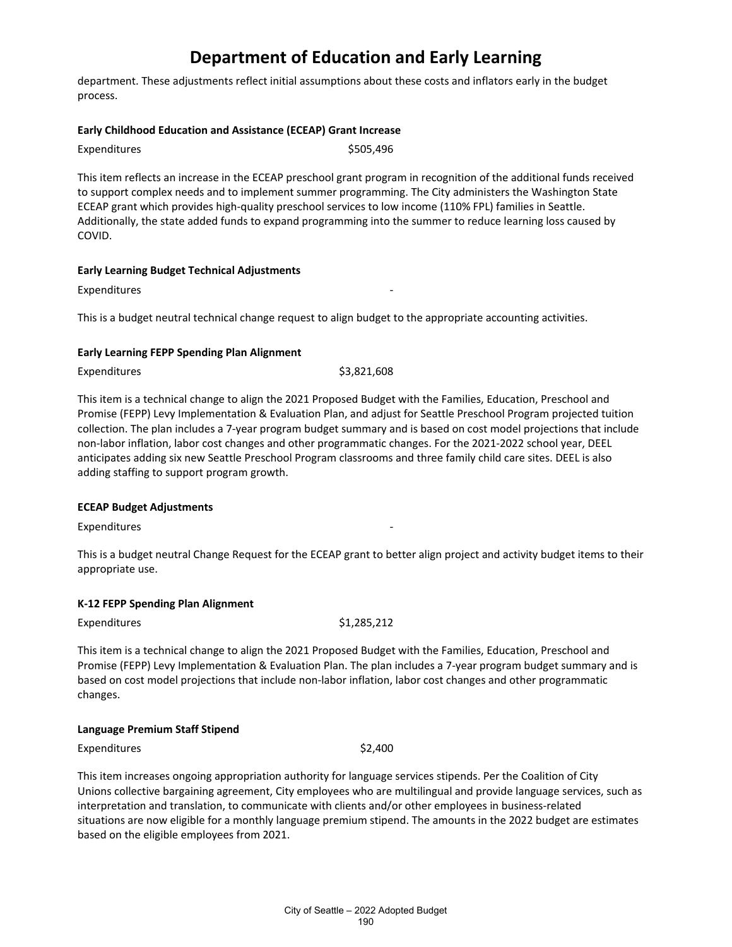department. These adjustments reflect initial assumptions about these costs and inflators early in the budget process.

#### **Early Childhood Education and Assistance (ECEAP) Grant Increase**

| Expenditures | \$505,496 |
|--------------|-----------|
|              |           |

This item reflects an increase in the ECEAP preschool grant program in recognition of the additional funds received to support complex needs and to implement summer programming. The City administers the Washington State ECEAP grant which provides high-quality preschool services to low income (110% FPL) families in Seattle. Additionally, the state added funds to expand programming into the summer to reduce learning loss caused by COVID.

#### **Early Learning Budget Technical Adjustments**

**Expenditures** 

This is a budget neutral technical change request to align budget to the appropriate accounting activities.

#### **Early Learning FEPP Spending Plan Alignment**

Expenditures \$3,821,608

This item is a technical change to align the 2021 Proposed Budget with the Families, Education, Preschool and Promise (FEPP) Levy Implementation & Evaluation Plan, and adjust for Seattle Preschool Program projected tuition collection. The plan includes a 7-year program budget summary and is based on cost model projections that include non-labor inflation, labor cost changes and other programmatic changes. For the 2021-2022 school year, DEEL anticipates adding six new Seattle Preschool Program classrooms and three family child care sites. DEEL is also adding staffing to support program growth.

#### **ECEAP Budget Adjustments**

Expenditures

This is a budget neutral Change Request for the ECEAP grant to better align project and activity budget items to their appropriate use.

#### **K-12 FEPP Spending Plan Alignment**

Expenditures  $$1,285,212$ 

This item is a technical change to align the 2021 Proposed Budget with the Families, Education, Preschool and Promise (FEPP) Levy Implementation & Evaluation Plan. The plan includes a 7-year program budget summary and is based on cost model projections that include non-labor inflation, labor cost changes and other programmatic changes.

#### **Language Premium Staff Stipend**

Expenditures \$2,400

This item increases ongoing appropriation authority for language services stipends. Per the Coalition of City Unions collective bargaining agreement, City employees who are multilingual and provide language services, such as interpretation and translation, to communicate with clients and/or other employees in business-related situations are now eligible for a monthly language premium stipend. The amounts in the 2022 budget are estimates based on the eligible employees from 2021.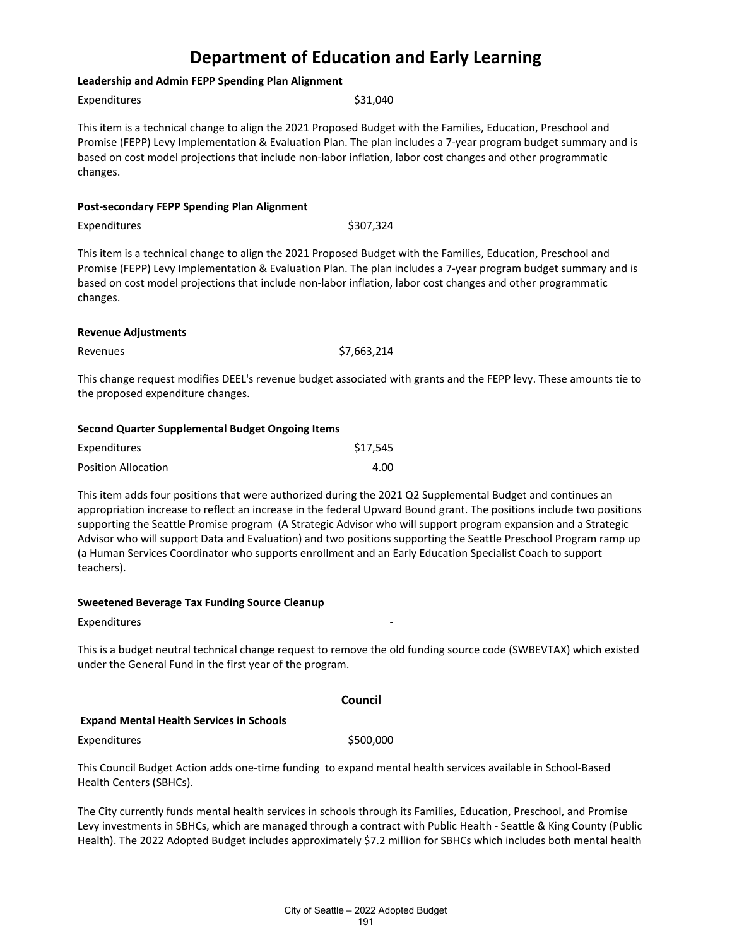#### **Leadership and Admin FEPP Spending Plan Alignment**

Expenditures \$31,040

This item is a technical change to align the 2021 Proposed Budget with the Families, Education, Preschool and Promise (FEPP) Levy Implementation & Evaluation Plan. The plan includes a 7-year program budget summary and is based on cost model projections that include non-labor inflation, labor cost changes and other programmatic changes.

| <b>Post-secondary FEPP Spending Plan Alignment</b> |  |  |  |  |  |
|----------------------------------------------------|--|--|--|--|--|
|----------------------------------------------------|--|--|--|--|--|

Expenditures \$307,324

This item is a technical change to align the 2021 Proposed Budget with the Families, Education, Preschool and Promise (FEPP) Levy Implementation & Evaluation Plan. The plan includes a 7-year program budget summary and is based on cost model projections that include non-labor inflation, labor cost changes and other programmatic changes.

#### **Revenue Adjustments**

| Revenues | \$7,663,214 |
|----------|-------------|
|----------|-------------|

This change request modifies DEEL's revenue budget associated with grants and the FEPP levy. These amounts tie to the proposed expenditure changes.

#### **Second Quarter Supplemental Budget Ongoing Items**

| Expenditures               | \$17,545 |
|----------------------------|----------|
| <b>Position Allocation</b> | 4.00     |

This item adds four positions that were authorized during the 2021 Q2 Supplemental Budget and continues an appropriation increase to reflect an increase in the federal Upward Bound grant. The positions include two positions supporting the Seattle Promise program (A Strategic Advisor who will support program expansion and a Strategic Advisor who will support Data and Evaluation) and two positions supporting the Seattle Preschool Program ramp up (a Human Services Coordinator who supports enrollment and an Early Education Specialist Coach to support teachers).

#### **Sweetened Beverage Tax Funding Source Cleanup**

**Expenditures** 

This is a budget neutral technical change request to remove the old funding source code (SWBEVTAX) which existed under the General Fund in the first year of the program.

#### **Council**

#### **Expand Mental Health Services in Schools**

Expenditures  $$500,000$ 

This Council Budget Action adds one-time funding to expand mental health services available in School-Based Health Centers (SBHCs).

The City currently funds mental health services in schools through its Families, Education, Preschool, and Promise Levy investments in SBHCs, which are managed through a contract with Public Health - Seattle & King County (Public Health). The 2022 Adopted Budget includes approximately \$7.2 million for SBHCs which includes both mental health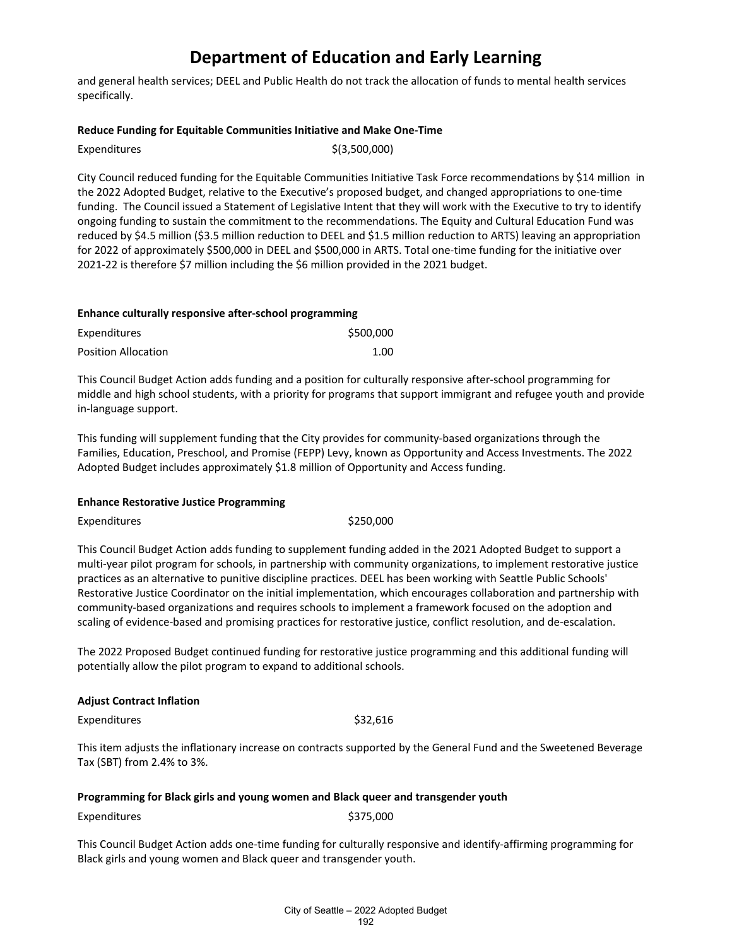and general health services; DEEL and Public Health do not track the allocation of funds to mental health services specifically.

#### **Reduce Funding for Equitable Communities Initiative and Make One-Time**

| Expenditures | \$(3,500,000) |
|--------------|---------------|
|--------------|---------------|

City Council reduced funding for the Equitable Communities Initiative Task Force recommendations by \$14 million in the 2022 Adopted Budget, relative to the Executive's proposed budget, and changed appropriations to one-time funding. The Council issued a Statement of Legislative Intent that they will work with the Executive to try to identify ongoing funding to sustain the commitment to the recommendations. The Equity and Cultural Education Fund was reduced by \$4.5 million (\$3.5 million reduction to DEEL and \$1.5 million reduction to ARTS) leaving an appropriation for 2022 of approximately \$500,000 in DEEL and \$500,000 in ARTS. Total one-time funding for the initiative over 2021-22 is therefore \$7 million including the \$6 million provided in the 2021 budget.

#### **Enhance culturally responsive after-school programming**

| Expenditures               | \$500,000 |
|----------------------------|-----------|
| <b>Position Allocation</b> | 1.00      |

This Council Budget Action adds funding and a position for culturally responsive after-school programming for middle and high school students, with a priority for programs that support immigrant and refugee youth and provide in-language support.

This funding will supplement funding that the City provides for community-based organizations through the Families, Education, Preschool, and Promise (FEPP) Levy, known as Opportunity and Access Investments. The 2022 Adopted Budget includes approximately \$1.8 million of Opportunity and Access funding.

#### **Enhance Restorative Justice Programming**

Expenditures \$250,000

This Council Budget Action adds funding to supplement funding added in the 2021 Adopted Budget to support a multi-year pilot program for schools, in partnership with community organizations, to implement restorative justice practices as an alternative to punitive discipline practices. DEEL has been working with Seattle Public Schools' Restorative Justice Coordinator on the initial implementation, which encourages collaboration and partnership with community-based organizations and requires schools to implement a framework focused on the adoption and scaling of evidence-based and promising practices for restorative justice, conflict resolution, and de-escalation.

The 2022 Proposed Budget continued funding for restorative justice programming and this additional funding will potentially allow the pilot program to expand to additional schools.

#### **Adjust Contract Inflation**

Expenditures \$32,616

This item adjusts the inflationary increase on contracts supported by the General Fund and the Sweetened Beverage Tax (SBT) from 2.4% to 3%.

#### **Programming for Black girls and young women and Black queer and transgender youth**

Expenditures \$375,000

This Council Budget Action adds one-time funding for culturally responsive and identify-affirming programming for Black girls and young women and Black queer and transgender youth.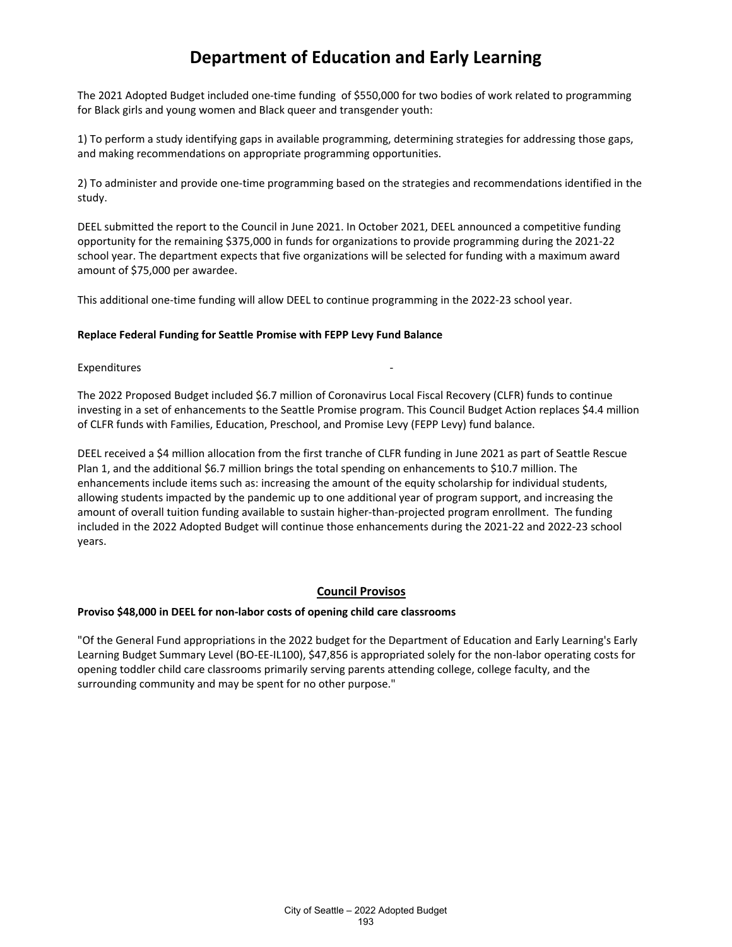The 2021 Adopted Budget included one-time funding of \$550,000 for two bodies of work related to programming for Black girls and young women and Black queer and transgender youth:

1) To perform a study identifying gaps in available programming, determining strategies for addressing those gaps, and making recommendations on appropriate programming opportunities.

2) To administer and provide one-time programming based on the strategies and recommendations identified in the study.

DEEL submitted the report to the Council in June 2021. In October 2021, DEEL announced a competitive funding opportunity for the remaining \$375,000 in funds for organizations to provide programming during the 2021-22 school year. The department expects that five organizations will be selected for funding with a maximum award amount of \$75,000 per awardee.

This additional one-time funding will allow DEEL to continue programming in the 2022-23 school year.

#### **Replace Federal Funding for Seattle Promise with FEPP Levy Fund Balance**

#### Expenditures

The 2022 Proposed Budget included \$6.7 million of Coronavirus Local Fiscal Recovery (CLFR) funds to continue investing in a set of enhancements to the Seattle Promise program. This Council Budget Action replaces \$4.4 million of CLFR funds with Families, Education, Preschool, and Promise Levy (FEPP Levy) fund balance.

DEEL received a \$4 million allocation from the first tranche of CLFR funding in June 2021 as part of Seattle Rescue Plan 1, and the additional \$6.7 million brings the total spending on enhancements to \$10.7 million. The enhancements include items such as: increasing the amount of the equity scholarship for individual students, allowing students impacted by the pandemic up to one additional year of program support, and increasing the amount of overall tuition funding available to sustain higher-than-projected program enrollment. The funding included in the 2022 Adopted Budget will continue those enhancements during the 2021-22 and 2022-23 school years.

#### **Council Provisos**

#### **Proviso \$48,000 in DEEL for non-labor costs of opening child care classrooms**

"Of the General Fund appropriations in the 2022 budget for the Department of Education and Early Learning's Early Learning Budget Summary Level (BO-EE-IL100), \$47,856 is appropriated solely for the non-labor operating costs for opening toddler child care classrooms primarily serving parents attending college, college faculty, and the surrounding community and may be spent for no other purpose."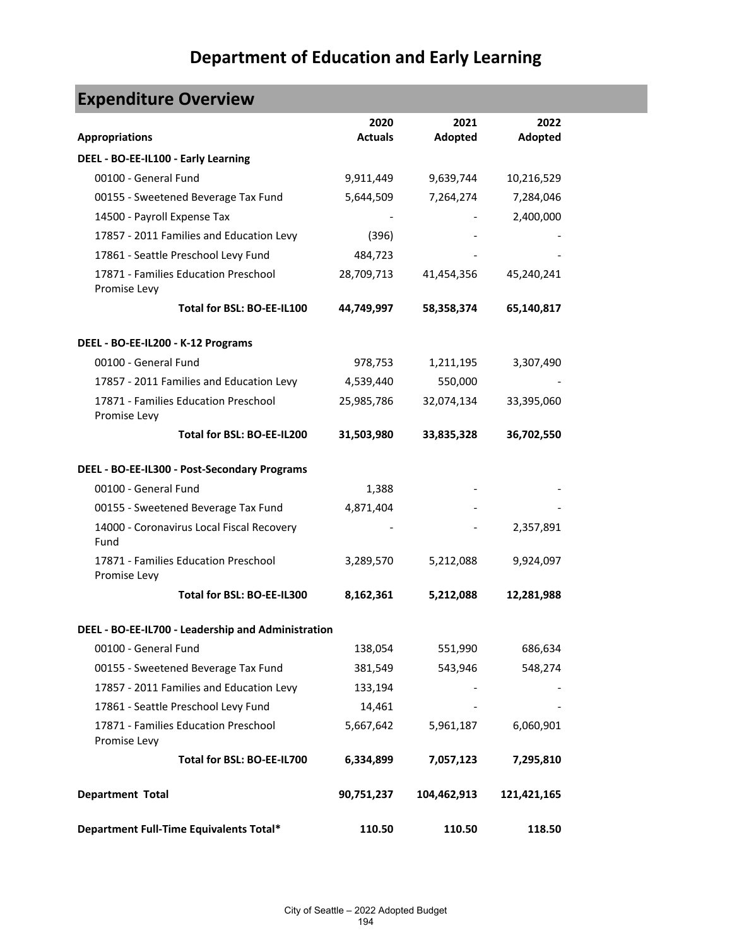| <b>Expenditure Overview</b>                          |                |             |             |  |
|------------------------------------------------------|----------------|-------------|-------------|--|
|                                                      | 2020           | 2021        | 2022        |  |
| <b>Appropriations</b>                                | <b>Actuals</b> | Adopted     | Adopted     |  |
| DEEL - BO-EE-IL100 - Early Learning                  |                |             |             |  |
| 00100 - General Fund                                 | 9,911,449      | 9,639,744   | 10,216,529  |  |
| 00155 - Sweetened Beverage Tax Fund                  | 5,644,509      | 7,264,274   | 7,284,046   |  |
| 14500 - Payroll Expense Tax                          |                |             | 2,400,000   |  |
| 17857 - 2011 Families and Education Levy             | (396)          |             |             |  |
| 17861 - Seattle Preschool Levy Fund                  | 484,723        |             |             |  |
| 17871 - Families Education Preschool<br>Promise Levy | 28,709,713     | 41,454,356  | 45,240,241  |  |
| Total for BSL: BO-EE-IL100                           | 44,749,997     | 58,358,374  | 65,140,817  |  |
| DEEL - BO-EE-IL200 - K-12 Programs                   |                |             |             |  |
| 00100 - General Fund                                 | 978,753        | 1,211,195   | 3,307,490   |  |
| 17857 - 2011 Families and Education Levy             | 4,539,440      | 550,000     |             |  |
| 17871 - Families Education Preschool<br>Promise Levy | 25,985,786     | 32,074,134  | 33,395,060  |  |
| Total for BSL: BO-EE-IL200                           | 31,503,980     | 33,835,328  | 36,702,550  |  |
| DEEL - BO-EE-IL300 - Post-Secondary Programs         |                |             |             |  |
| 00100 - General Fund                                 | 1,388          |             |             |  |
| 00155 - Sweetened Beverage Tax Fund                  | 4,871,404      |             |             |  |
| 14000 - Coronavirus Local Fiscal Recovery<br>Fund    |                |             | 2,357,891   |  |
| 17871 - Families Education Preschool<br>Promise Levy | 3,289,570      | 5,212,088   | 9,924,097   |  |
| Total for BSL: BO-EE-IL300                           | 8,162,361      | 5,212,088   | 12,281,988  |  |
| DEEL - BO-EE-IL700 - Leadership and Administration   |                |             |             |  |
| 00100 - General Fund                                 | 138,054        | 551,990     | 686,634     |  |
| 00155 - Sweetened Beverage Tax Fund                  | 381,549        | 543,946     | 548,274     |  |
| 17857 - 2011 Families and Education Levy             | 133,194        |             |             |  |
| 17861 - Seattle Preschool Levy Fund                  | 14,461         |             |             |  |
| 17871 - Families Education Preschool<br>Promise Levy | 5,667,642      | 5,961,187   | 6,060,901   |  |
| Total for BSL: BO-EE-IL700                           | 6,334,899      | 7,057,123   | 7,295,810   |  |
| <b>Department Total</b>                              | 90,751,237     | 104,462,913 | 121,421,165 |  |
| Department Full-Time Equivalents Total*              | 110.50         | 110.50      | 118.50      |  |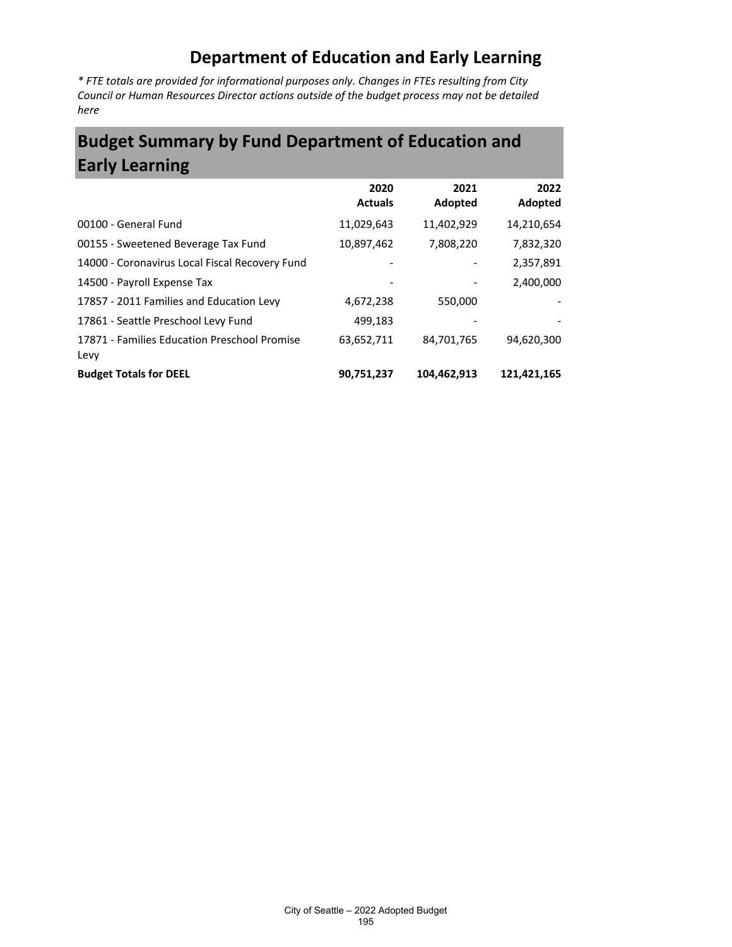*\* FTE totals are provided for informational purposes only. Changes in FTEs resulting from City Council or Human Resources Director actions outside of the budget process may not be detailed here*

## **Budget Summary by Fund Department of Education and Early Learning**

|                                                      | 2020<br><b>Actuals</b> | 2021<br>Adopted | 2022<br>Adopted |
|------------------------------------------------------|------------------------|-----------------|-----------------|
| 00100 - General Fund                                 | 11,029,643             | 11,402,929      | 14,210,654      |
| 00155 - Sweetened Beverage Tax Fund                  | 10,897,462             | 7,808,220       | 7,832,320       |
| 14000 - Coronavirus Local Fiscal Recovery Fund       |                        |                 | 2,357,891       |
| 14500 - Payroll Expense Tax                          |                        |                 | 2,400,000       |
| 17857 - 2011 Families and Education Levy             | 4,672,238              | 550,000         |                 |
| 17861 - Seattle Preschool Levy Fund                  | 499,183                |                 |                 |
| 17871 - Families Education Preschool Promise<br>Levy | 63,652,711             | 84,701,765      | 94,620,300      |
| <b>Budget Totals for DEEL</b>                        | 90,751,237             | 104.462.913     | 121.421.165     |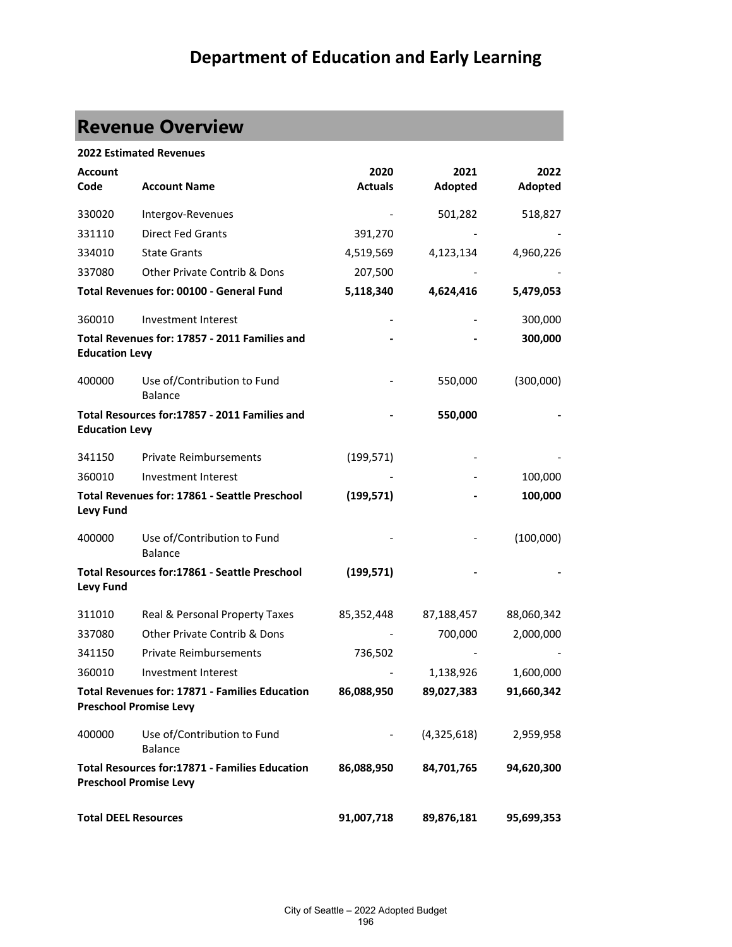# **Revenue Overview**

|                             | <b>2022 Estimated Revenues</b>                                                         |                |             |            |
|-----------------------------|----------------------------------------------------------------------------------------|----------------|-------------|------------|
| Account                     |                                                                                        | 2020           | 2021        | 2022       |
| Code                        | <b>Account Name</b>                                                                    | <b>Actuals</b> | Adopted     | Adopted    |
| 330020                      | Intergov-Revenues                                                                      |                | 501,282     | 518,827    |
| 331110                      | <b>Direct Fed Grants</b>                                                               | 391,270        |             |            |
| 334010                      | <b>State Grants</b>                                                                    | 4,519,569      | 4,123,134   | 4,960,226  |
| 337080                      | <b>Other Private Contrib &amp; Dons</b>                                                | 207,500        |             |            |
|                             | Total Revenues for: 00100 - General Fund                                               | 5,118,340      | 4,624,416   | 5,479,053  |
| 360010                      | Investment Interest                                                                    |                |             | 300,000    |
| <b>Education Levy</b>       | Total Revenues for: 17857 - 2011 Families and                                          |                |             | 300,000    |
| 400000                      | Use of/Contribution to Fund<br><b>Balance</b>                                          |                | 550,000     | (300,000)  |
| <b>Education Levy</b>       | Total Resources for:17857 - 2011 Families and                                          |                | 550,000     |            |
| 341150                      | <b>Private Reimbursements</b>                                                          | (199, 571)     |             |            |
| 360010                      | Investment Interest                                                                    |                |             | 100,000    |
| <b>Levy Fund</b>            | Total Revenues for: 17861 - Seattle Preschool                                          | (199, 571)     |             | 100,000    |
| 400000                      | Use of/Contribution to Fund<br><b>Balance</b>                                          |                |             | (100,000)  |
| <b>Levy Fund</b>            | Total Resources for:17861 - Seattle Preschool                                          | (199, 571)     |             |            |
| 311010                      | Real & Personal Property Taxes                                                         | 85,352,448     | 87,188,457  | 88,060,342 |
| 337080                      | Other Private Contrib & Dons                                                           |                | 700,000     | 2,000,000  |
| 341150                      | <b>Private Reimbursements</b>                                                          | 736,502        |             |            |
| 360010                      | Investment Interest                                                                    |                | 1,138,926   | 1,600,000  |
|                             | Total Revenues for: 17871 - Families Education<br><b>Preschool Promise Levy</b>        | 86,088,950     | 89,027,383  | 91,660,342 |
| 400000                      | Use of/Contribution to Fund<br><b>Balance</b>                                          |                | (4,325,618) | 2,959,958  |
|                             | <b>Total Resources for:17871 - Families Education</b><br><b>Preschool Promise Levy</b> | 86,088,950     | 84,701,765  | 94,620,300 |
| <b>Total DEEL Resources</b> |                                                                                        | 91,007,718     | 89,876,181  | 95,699,353 |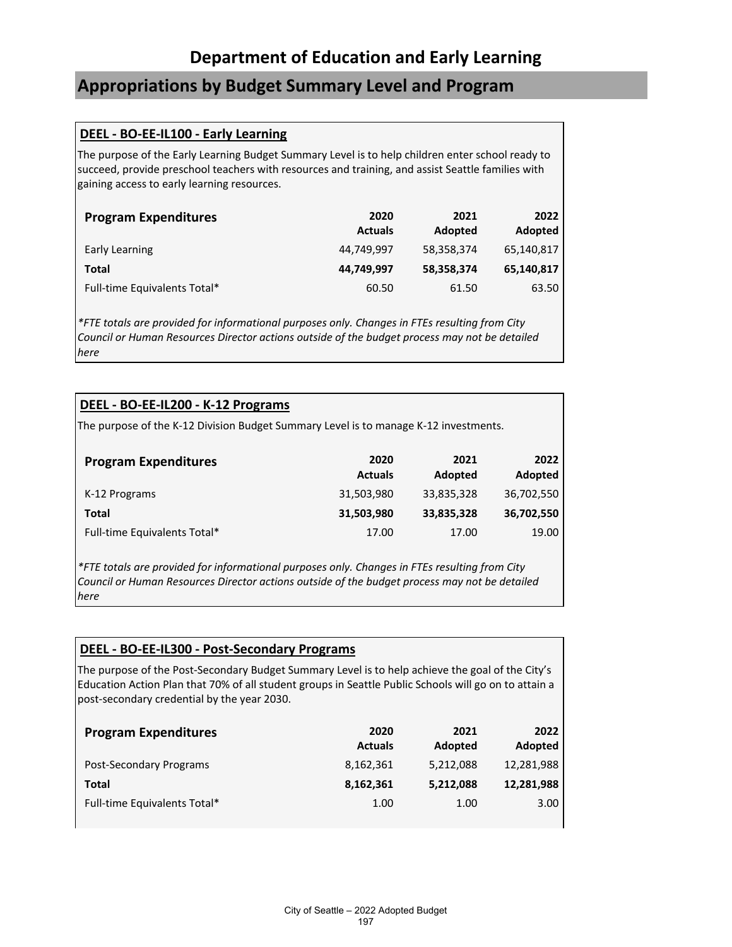### **Appropriations by Budget Summary Level and Program**

#### **DEEL - BO-EE-IL100 - Early Learning**

The purpose of the Early Learning Budget Summary Level is to help children enter school ready to succeed, provide preschool teachers with resources and training, and assist Seattle families with gaining access to early learning resources.

| <b>Program Expenditures</b>  | 2020<br><b>Actuals</b> | 2021<br>Adopted | 2022<br>Adopted |
|------------------------------|------------------------|-----------------|-----------------|
| Early Learning               | 44.749.997             | 58,358,374      | 65,140,817      |
| <b>Total</b>                 | 44,749,997             | 58,358,374      | 65,140,817      |
| Full-time Equivalents Total* | 60.50                  | 61.50           | 63.50           |

*\*FTE totals are provided for informational purposes only. Changes in FTEs resulting from City Council or Human Resources Director actions outside of the budget process may not be detailed here*

#### **DEEL - BO-EE-IL200 - K-12 Programs**

The purpose of the K-12 Division Budget Summary Level is to manage K-12 investments.

| <b>Program Expenditures</b>  | 2020<br><b>Actuals</b> | 2021<br>Adopted | 2022<br>Adopted |
|------------------------------|------------------------|-----------------|-----------------|
| K-12 Programs                | 31,503,980             | 33,835,328      | 36,702,550      |
| Total                        | 31,503,980             | 33,835,328      | 36,702,550      |
| Full-time Equivalents Total* | 17.00                  | 17.00           | 19.00           |

*\*FTE totals are provided for informational purposes only. Changes in FTEs resulting from City Council or Human Resources Director actions outside of the budget process may not be detailed here*

#### **DEEL - BO-EE-IL300 - Post-Secondary Programs**

The purpose of the Post-Secondary Budget Summary Level is to help achieve the goal of the City's Education Action Plan that 70% of all student groups in Seattle Public Schools will go on to attain a post-secondary credential by the year 2030.

| <b>Program Expenditures</b>  | 2020<br><b>Actuals</b> | 2021<br>Adopted | 2022<br>Adopted |
|------------------------------|------------------------|-----------------|-----------------|
| Post-Secondary Programs      | 8,162,361              | 5,212,088       | 12,281,988      |
| Total                        | 8,162,361              | 5,212,088       | 12,281,988      |
| Full-time Equivalents Total* | 1.00                   | 1.00            | 3.00            |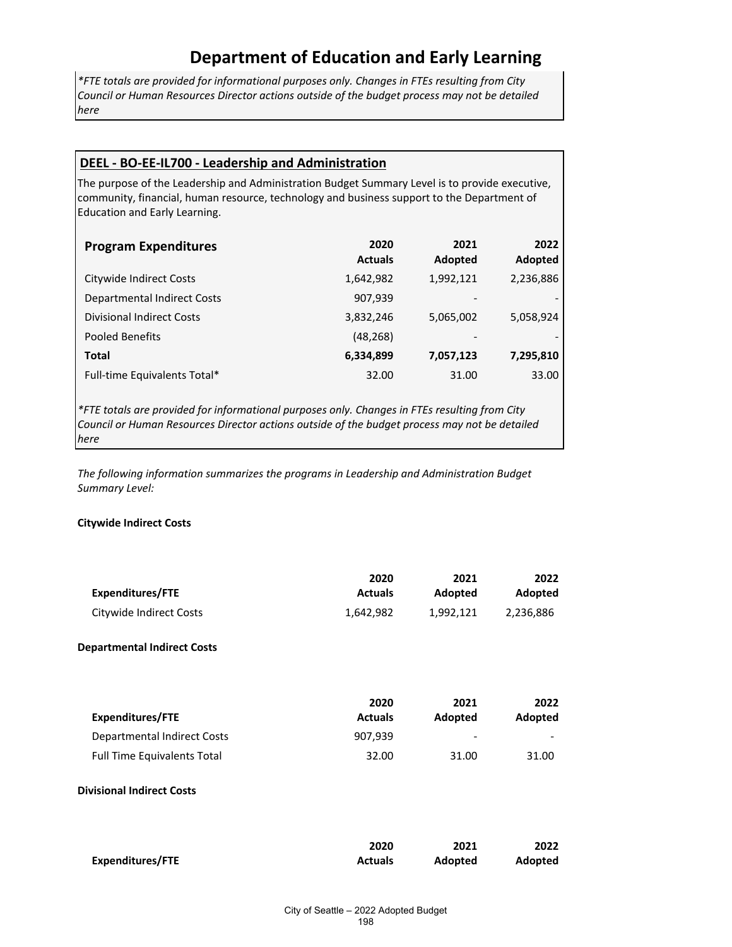*\*FTE totals are provided for informational purposes only. Changes in FTEs resulting from City Council or Human Resources Director actions outside of the budget process may not be detailed here*

#### **DEEL - BO-EE-IL700 - Leadership and Administration**

The purpose of the Leadership and Administration Budget Summary Level is to provide executive, community, financial, human resource, technology and business support to the Department of Education and Early Learning.

| <b>Program Expenditures</b>        | 2020<br><b>Actuals</b> | 2021<br>Adopted              | 2022<br>Adopted |
|------------------------------------|------------------------|------------------------------|-----------------|
| Citywide Indirect Costs            | 1,642,982              | 1,992,121                    | 2,236,886       |
| <b>Departmental Indirect Costs</b> | 907,939                | $\qquad \qquad \blacksquare$ |                 |
| <b>Divisional Indirect Costs</b>   | 3,832,246              | 5,065,002                    | 5,058,924       |
| <b>Pooled Benefits</b>             | (48, 268)              | $\overline{\phantom{0}}$     |                 |
| <b>Total</b>                       | 6,334,899              | 7,057,123                    | 7,295,810       |
| Full-time Equivalents Total*       | 32.00                  | 31.00                        | 33.00           |

*\*FTE totals are provided for informational purposes only. Changes in FTEs resulting from City Council or Human Resources Director actions outside of the budget process may not be detailed here*

*The following information summarizes the programs in Leadership and Administration Budget Summary Level:*

#### **Citywide Indirect Costs**

| <b>Expenditures/FTE</b>            | 2020<br><b>Actuals</b> | 2021<br>Adopted | 2022<br>Adopted |
|------------------------------------|------------------------|-----------------|-----------------|
| Citywide Indirect Costs            | 1,642,982              | 1,992,121       | 2,236,886       |
| <b>Departmental Indirect Costs</b> |                        |                 |                 |
| <b>Expenditures/FTE</b>            | 2020<br><b>Actuals</b> | 2021<br>Adopted | 2022<br>Adopted |
| <b>Departmental Indirect Costs</b> | 907,939                |                 |                 |
| <b>Full Time Equivalents Total</b> | 32.00                  | 31.00           | 31.00           |
| <b>Divisional Indirect Costs</b>   |                        |                 |                 |
| <b>Expenditures/FTE</b>            | 2020<br><b>Actuals</b> | 2021<br>Adopted | 2022<br>Adopted |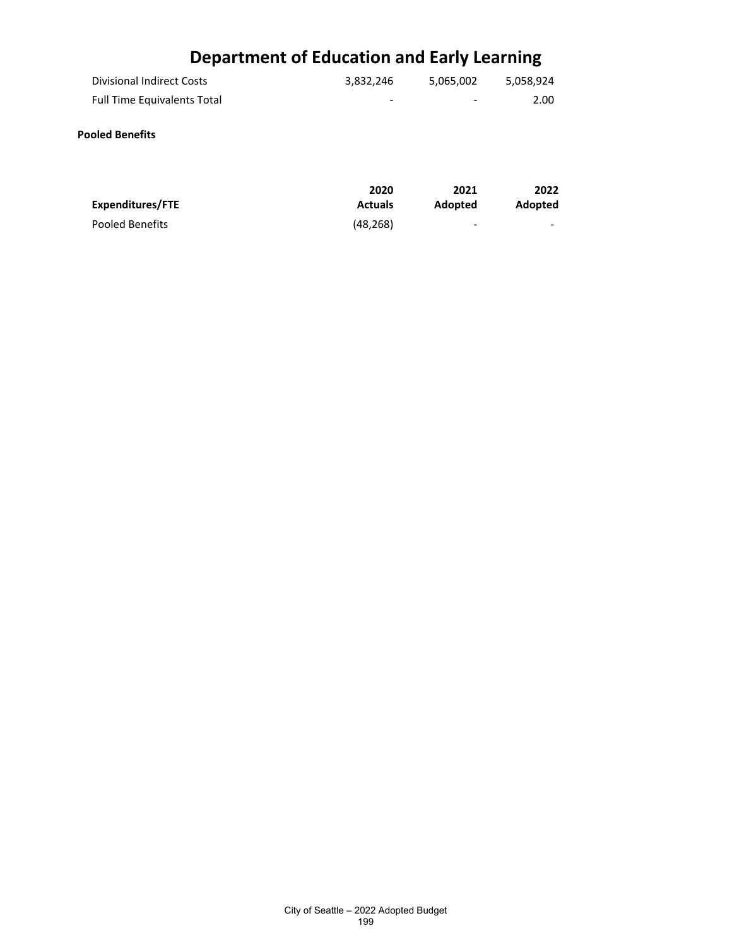| <b>Divisional Indirect Costs</b>   | 3,832,246 | 5,065,002                | 5,058,924 |
|------------------------------------|-----------|--------------------------|-----------|
| <b>Full Time Equivalents Total</b> | -         | $\overline{\phantom{a}}$ | 2.00      |
| <b>Pooled Benefits</b>             |           |                          |           |

#### **Expenditures/FTE 2020 Actuals 2021 Adopted 2022 Adopted** Pooled Benefits **(48,268)** and the contract of the contract of the contract of the contract of the contract of the contract of the contract of the contract of the contract of the contract of the contract of the contract of